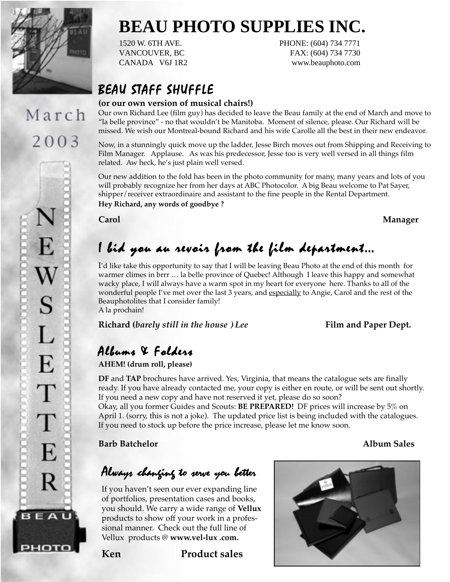

March

2003

# **BEAU PHOTO SUPPLIES INC.**

1520 W. 6TH AVE. PHONE: (604) 734 7771 VANCOUVER, BC FAX: (604) 734 7730 CANADA V6J 1R2 www.beauphoto.com

## BEAU STAFF SHUFFLE

### **(or our own version of musical chairs!)**

Our own Richard Lee (film guy) has decided to leave the Beau family at the end of March and move to "la belle province" - no that wouldn't be Manitoba. Moment of silence, please. Our Richard will be missed. We wish our Montreal-bound Richard and his wife Carolle all the best in their new endeavor.

Now, in a stunningly quick move up the ladder, Jesse Birch moves out from Shipping and Receiving to Film Manager. Applause. As was his predecessor, Jesse too is very well versed in all things film related. Aw heck, he's just plain well versed.

Our new addition to the fold has been in the photo community for many, many years and lots of you will probably recognize her from her days at ABC Photocolor. A big Beau welcome to Pat Sayer, shipper/receiver extraordinaire and assistant to the fine people in the Rental Department. **Hey Richard, any words of goodbye ?**

**Carol Manager**

# $\boldsymbol{1}$  bid you au revoir from the film department…

I'd like take this opportunity to say that I will be leaving Beau Photo at the end of this month for warmer climes in brrr … la belle province of Quebec! Although I leave this happy and somewhat wacky place, I will always have a warm spot in my heart for everyone here. Thanks to all of the wonderful people I've met over the last 3 years, and especially to Angie, Carol and the rest of the Beauphotolites that I consider family! A la prochain!

**Richard (barely still in the house ) Lee** Film and Paper Dept.

## $Albuma$  & Folders

**AHEM! (drum roll, please)**

**DF** and **TAP** brochures have arrived. Yes, Virginia, that means the catalogue sets are finally ready. If you have already contacted me, your copy is either en route, or will be sent out shortly. If you need a new copy and have not reserved it yet, please do so soon?

Okay, all you former Guides and Scouts: **BE PREPARED!** DF prices will increase by 5% on April 1. (sorry, this is not a joke). The updated price list is being included with the catalogues. If you need to stock up before the price increase, please let me know soon.

**Barb Batchelor Album Sales**

## Always changing to serve you better

If you haven't seen our ever expanding line of portfolios, presentation cases and books, you should. We carry a wide range of **Vellux** products to show off your work in a professional manner. Check out the full line of Vellux products @ **www.vel-lux .com.**



**Ken Product sales**

рното